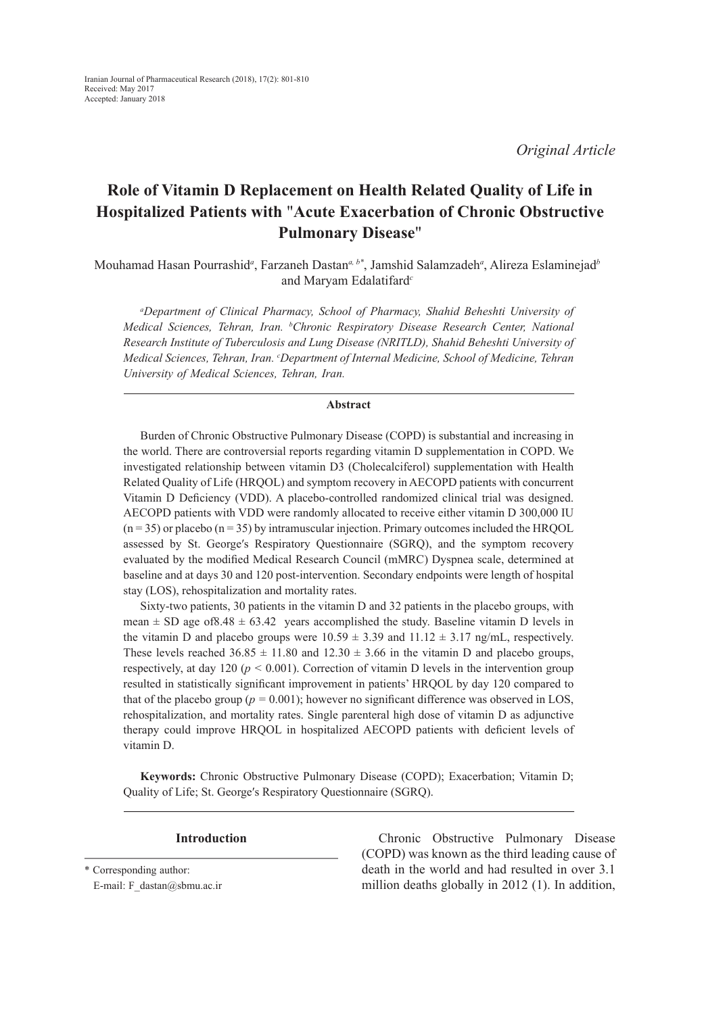*Original Article*

# **Role of Vitamin D Replacement on Health Related Quality of Life in Hospitalized Patients with** "**Acute Exacerbation of Chronic Obstructive Pulmonary Disease**"

Mouhamad Hasan Pourrashid*<sup>a</sup>* , Farzaneh Dastan*a, b\**, Jamshid Salamzadeh*<sup>a</sup>* , Alireza Eslaminejad*<sup>b</sup>* and Maryam Edalatifard*<sup>c</sup>*

*a Department of Clinical Pharmacy, School of Pharmacy, Shahid Beheshti University of Medical Sciences, Tehran, Iran. b Chronic Respiratory Disease Research Center, National Research Institute of Tuberculosis and Lung Disease (NRITLD), Shahid Beheshti University of Medical Sciences, Tehran, Iran. c Department of Internal Medicine, School of Medicine, Tehran University of Medical Sciences, Tehran, Iran.*

#### **Abstract**

Burden of Chronic Obstructive Pulmonary Disease (COPD) is substantial and increasing in the world. There are controversial reports regarding vitamin D supplementation in COPD. We investigated relationship between vitamin D3 (Cholecalciferol) supplementation with Health Related Quality of Life (HRQOL) and symptom recovery in AECOPD patients with concurrent Vitamin D Deficiency (VDD). A placebo-controlled randomized clinical trial was designed. AECOPD patients with VDD were randomly allocated to receive either vitamin D 300,000 IU  $(n=35)$  or placebo  $(n=35)$  by intramuscular injection. Primary outcomes included the HRQOL assessed by St. Georgeʹs Respiratory Questionnaire (SGRQ), and the symptom recovery evaluated by the modified Medical Research Council (mMRC) Dyspnea scale, determined at baseline and at days 30 and 120 post-intervention. Secondary endpoints were length of hospital stay (LOS), rehospitalization and mortality rates.

Sixty-two patients, 30 patients in the vitamin D and 32 patients in the placebo groups, with mean  $\pm$  SD age of 8.48  $\pm$  63.42 years accomplished the study. Baseline vitamin D levels in the vitamin D and placebo groups were  $10.59 \pm 3.39$  and  $11.12 \pm 3.17$  ng/mL, respectively. These levels reached  $36.85 \pm 11.80$  and  $12.30 \pm 3.66$  in the vitamin D and placebo groups, respectively, at day 120 ( $p < 0.001$ ). Correction of vitamin D levels in the intervention group resulted in statistically significant improvement in patients' HRQOL by day 120 compared to that of the placebo group ( $p = 0.001$ ); however no significant difference was observed in LOS, rehospitalization, and mortality rates. Single parenteral high dose of vitamin D as adjunctive therapy could improve HRQOL in hospitalized AECOPD patients with deficient levels of vitamin D.

**Keywords:** Chronic Obstructive Pulmonary Disease (COPD); Exacerbation; Vitamin D; Quality of Life; St. Georgeʹs Respiratory Questionnaire (SGRQ).

\* Corresponding author:

E-mail: F\_dastan@sbmu.ac.ir

**Introduction** Chronic Obstructive Pulmonary Disease (COPD) was known as the third leading cause of death in the world and had resulted in over 3.1 million deaths globally in 2012 (1). In addition,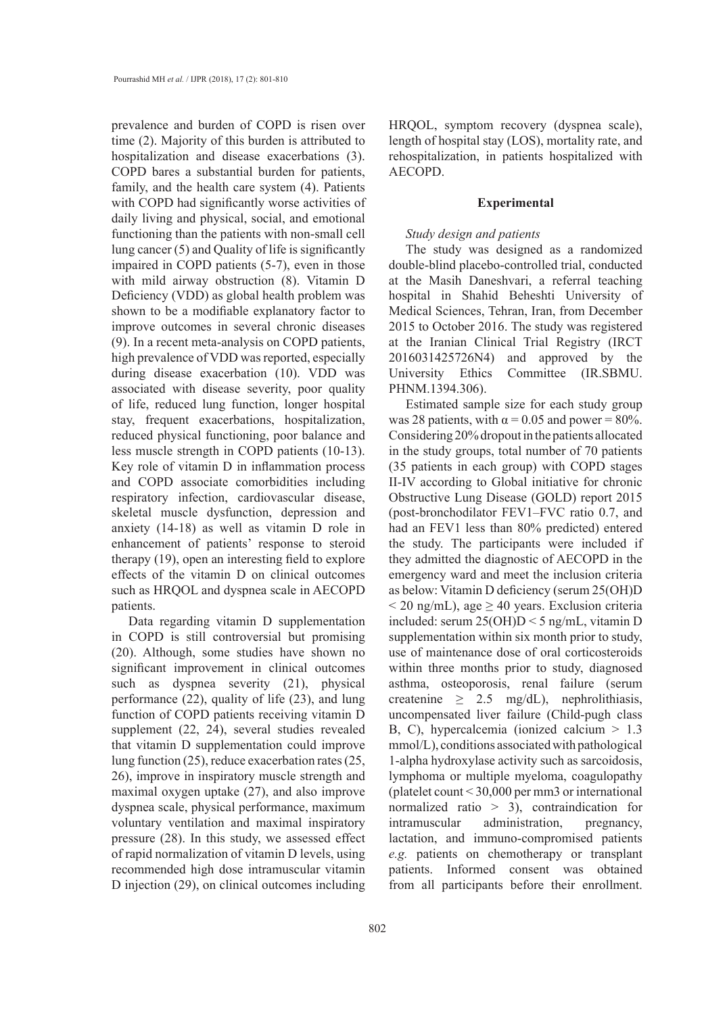prevalence and burden of COPD is risen over time (2). Majority of this burden is attributed to hospitalization and disease exacerbations (3). COPD bares a substantial burden for patients, family, and the health care system (4). Patients with COPD had significantly worse activities of daily living and physical, social, and emotional functioning than the patients with non-small cell lung cancer (5) and Quality of life is significantly impaired in COPD patients (5-7), even in those with mild airway obstruction (8). Vitamin D Deficiency (VDD) as global health problem was shown to be a modifiable explanatory factor to improve outcomes in several chronic diseases (9). In a recent meta-analysis on COPD patients, high prevalence of VDD was reported, especially during disease exacerbation (10). VDD was associated with disease severity, poor quality of life, reduced lung function, longer hospital stay, frequent exacerbations, hospitalization, reduced physical functioning, poor balance and less muscle strength in COPD patients (10-13). Key role of vitamin D in inflammation process and COPD associate comorbidities including respiratory infection, cardiovascular disease, skeletal muscle dysfunction, depression and anxiety (14-18) as well as vitamin D role in enhancement of patients' response to steroid therapy (19), open an interesting field to explore effects of the vitamin D on clinical outcomes such as HRQOL and dyspnea scale in AECOPD patients.

Data regarding vitamin D supplementation in COPD is still controversial but promising (20). Although, some studies have shown no significant improvement in clinical outcomes such as dyspnea severity (21), physical performance (22), quality of life (23), and lung function of COPD patients receiving vitamin D supplement (22, 24), several studies revealed that vitamin D supplementation could improve lung function (25), reduce exacerbation rates (25, 26), improve in inspiratory muscle strength and maximal oxygen uptake (27), and also improve dyspnea scale, physical performance, maximum voluntary ventilation and maximal inspiratory pressure (28). In this study, we assessed effect of rapid normalization of vitamin D levels, using recommended high dose intramuscular vitamin D injection (29), on clinical outcomes including HRQOL, symptom recovery (dyspnea scale), length of hospital stay (LOS), mortality rate, and rehospitalization, in patients hospitalized with AECOPD.

#### **Experimental**

#### *Study design and patients*

The study was designed as a randomized double-blind placebo-controlled trial, conducted at the Masih Daneshvari, a referral teaching hospital in Shahid Beheshti University of Medical Sciences, Tehran, Iran, from December 2015 to October 2016. The study was registered at the Iranian Clinical Trial Registry (IRCT 2016031425726N4) and approved by the University Ethics Committee (IR.SBMU. PHNM.1394.306).

Estimated sample size for each study group was 28 patients, with  $\alpha$  = 0.05 and power = 80%. Considering 20% dropout in the patients allocated in the study groups, total number of 70 patients (35 patients in each group) with COPD stages II-IV according to Global initiative for chronic Obstructive Lung Disease (GOLD) report 2015 (post-bronchodilator FEV1–FVC ratio 0.7, and had an FEV1 less than 80% predicted) entered the study. The participants were included if they admitted the diagnostic of AECOPD in the emergency ward and meet the inclusion criteria as below: Vitamin D deficiency (serum 25(OH)D  $\leq$  20 ng/mL), age  $\geq$  40 years. Exclusion criteria included: serum 25(OH)D < 5 ng/mL, vitamin D supplementation within six month prior to study, use of maintenance dose of oral corticosteroids within three months prior to study, diagnosed asthma, osteoporosis, renal failure (serum createnine  $\geq$  2.5 mg/dL), nephrolithiasis, uncompensated liver failure (Child-pugh class B, C), hypercalcemia (ionized calcium  $> 1.3$ mmol/L), conditions associated with pathological 1-alpha hydroxylase activity such as sarcoidosis, lymphoma or multiple myeloma, coagulopathy (platelet count < 30,000 per mm3 or international normalized ratio > 3), contraindication for intramuscular administration, pregnancy, lactation, and immuno-compromised patients *e.g.* patients on chemotherapy or transplant patients. Informed consent was obtained from all participants before their enrollment.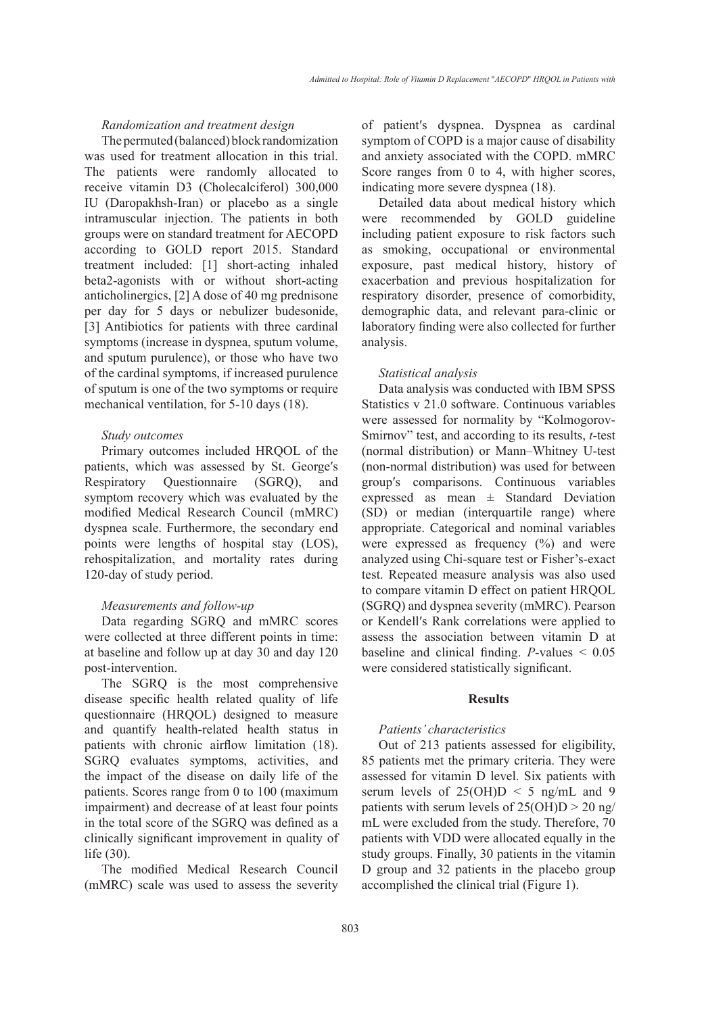# *Randomization and treatment design*

The permuted (balanced) block randomization was used for treatment allocation in this trial. The patients were randomly allocated to receive vitamin D3 (Cholecalciferol) 300,000 IU (Daropakhsh-Iran) or placebo as a single intramuscular injection. The patients in both groups were on standard treatment for AECOPD according to GOLD report 2015. Standard treatment included: [1] short-acting inhaled beta2-agonists with or without short-acting anticholinergics, [2] A dose of 40 mg prednisone per day for 5 days or nebulizer budesonide, [3] Antibiotics for patients with three cardinal symptoms (increase in dyspnea, sputum volume, and sputum purulence), or those who have two of the cardinal symptoms, if increased purulence of sputum is one of the two symptoms or require mechanical ventilation, for 5-10 days (18).

### *Study outcomes*

Primary outcomes included HRQOL of the patients, which was assessed by St. George's Respiratory Questionnaire (SGRQ), and symptom recovery which was evaluated by the modified Medical Research Council (mMRC) dyspnea scale. Furthermore, the secondary end points were lengths of hospital stay (LOS), rehospitalization, and mortality rates during 120-day of study period.

# *Measurements and follow-up*

Data regarding SGRQ and mMRC scores were collected at three different points in time: at baseline and follow up at day 30 and day 120 post-intervention.

The SGRQ is the most comprehensive disease specific health related quality of life questionnaire (HRQOL) designed to measure and quantify health-related health status in patients with chronic airflow limitation (18). SGRQ evaluates symptoms, activities, and the impact of the disease on daily life of the patients. Scores range from 0 to 100 (maximum impairment) and decrease of at least four points in the total score of the SGRQ was defined as a clinically significant improvement in quality of life (30).

The modified Medical Research Council (mMRC) scale was used to assess the severity of patientʹs dyspnea. Dyspnea as cardinal symptom of COPD is a major cause of disability and anxiety associated with the COPD. mMRC Score ranges from 0 to 4, with higher scores, indicating more severe dyspnea (18).

Detailed data about medical history which were recommended by GOLD guideline including patient exposure to risk factors such as smoking, occupational or environmental exposure, past medical history, history of exacerbation and previous hospitalization for respiratory disorder, presence of comorbidity, demographic data, and relevant para-clinic or laboratory finding were also collected for further analysis.

#### *Statistical analysis*

Data analysis was conducted with IBM SPSS Statistics v 21.0 software. Continuous variables were assessed for normality by "Kolmogorov-Smirnov" test, and according to its results, *t*-test (normal distribution) or Mann–Whitney U-test (non-normal distribution) was used for between groupʹs comparisons. Continuous variables expressed as mean ± Standard Deviation (SD) or median (interquartile range) where appropriate. Categorical and nominal variables were expressed as frequency  $(\%)$  and were analyzed using Chi-square test or Fisher's-exact test. Repeated measure analysis was also used to compare vitamin D effect on patient HRQOL (SGRQ) and dyspnea severity (mMRC). Pearson or Kendellʹs Rank correlations were applied to assess the association between vitamin D at baseline and clinical finding. *P*-values < 0.05 were considered statistically significant.

#### **Results**

#### *Patients' characteristics*

Out of 213 patients assessed for eligibility, 85 patients met the primary criteria. They were assessed for vitamin D level. Six patients with serum levels of  $25(OH)D < 5$  ng/mL and 9 patients with serum levels of  $25(OH)D > 20$  ng/ mL were excluded from the study. Therefore, 70 patients with VDD were allocated equally in the study groups. Finally, 30 patients in the vitamin D group and 32 patients in the placebo group accomplished the clinical trial (Figure 1).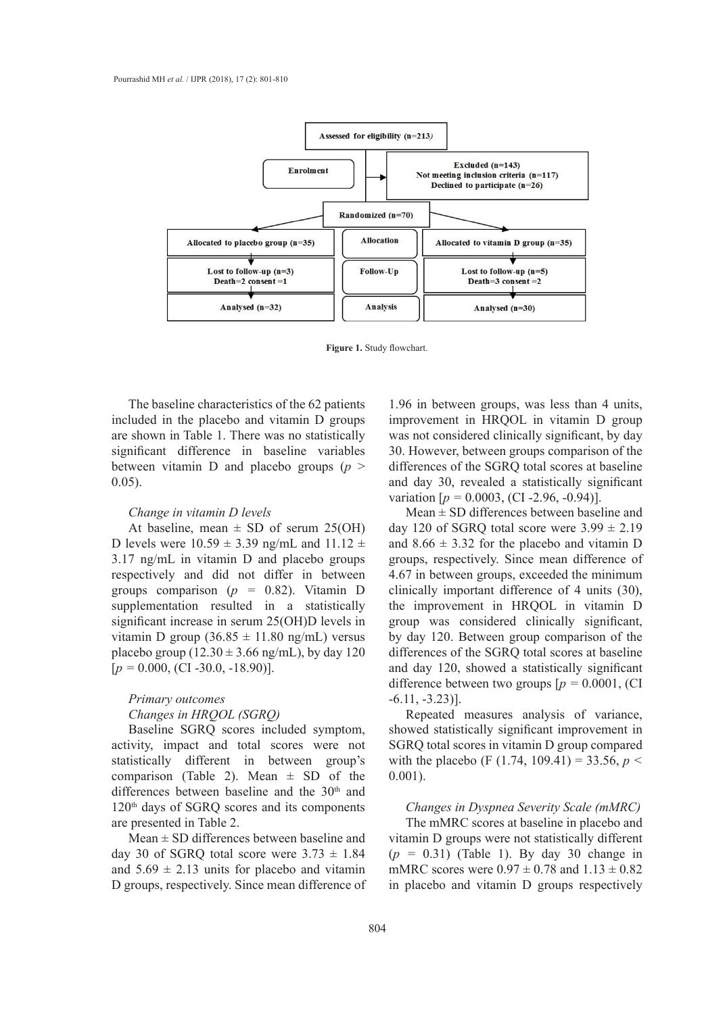

**Figure 1.** Study flowchart.

The baseline characteristics of the 62 patients included in the placebo and vitamin D groups are shown in Table 1. There was no statistically significant difference in baseline variables between vitamin D and placebo groups (*p* > 0.05).

#### *Change in vitamin D levels*

At baseline, mean  $\pm$  SD of serum 25(OH) D levels were  $10.59 \pm 3.39$  ng/mL and  $11.12 \pm$ 3.17 ng/mL in vitamin D and placebo groups respectively and did not differ in between groups comparison (*p =* 0.82). Vitamin D supplementation resulted in a statistically significant increase in serum 25(OH)D levels in vitamin D group  $(36.85 \pm 11.80 \text{ ng/mL})$  versus placebo group  $(12.30 \pm 3.66 \text{ ng/mL})$ , by day 120 [*p =* 0.000, (CI -30.0, -18.90)].

# *Primary outcomes*

# *Changes in HRQOL (SGRQ)*

Baseline SGRQ scores included symptom, activity, impact and total scores were not statistically different in between group's comparison (Table 2). Mean  $\pm$  SD of the differences between baseline and the 30<sup>th</sup> and 120<sup>th</sup> days of SGRQ scores and its components are presented in Table 2.

Mean  $\pm$  SD differences between baseline and day 30 of SGRQ total score were  $3.73 \pm 1.84$ and  $5.69 \pm 2.13$  units for placebo and vitamin D groups, respectively. Since mean difference of

1.96 in between groups, was less than 4 units, improvement in HRQOL in vitamin D group was not considered clinically significant, by day 30. However, between groups comparison of the differences of the SGRQ total scores at baseline and day 30, revealed a statistically significant variation [*p =* 0.0003, (CI -2.96, -0.94)].

Mean  $\pm$  SD differences between baseline and day 120 of SGRQ total score were  $3.99 \pm 2.19$ and  $8.66 \pm 3.32$  for the placebo and vitamin D groups, respectively. Since mean difference of 4.67 in between groups, exceeded the minimum clinically important difference of 4 units (30), the improvement in HRQOL in vitamin D group was considered clinically significant, by day 120. Between group comparison of the differences of the SGRQ total scores at baseline and day 120, showed a statistically significant difference between two groups  $[p = 0.0001]$ , (CI  $-6.11, -3.23$ ].

Repeated measures analysis of variance, showed statistically significant improvement in SGRQ total scores in vitamin D group compared with the placebo (F  $(1.74, 109.41) = 33.56$ ,  $p <$ 0.001).

### *Changes in Dyspnea Severity Scale (mMRC)*

The mMRC scores at baseline in placebo and vitamin D groups were not statistically different (*p =* 0.31) (Table 1). By day 30 change in mMRC scores were  $0.97 \pm 0.78$  and  $1.13 \pm 0.82$ in placebo and vitamin D groups respectively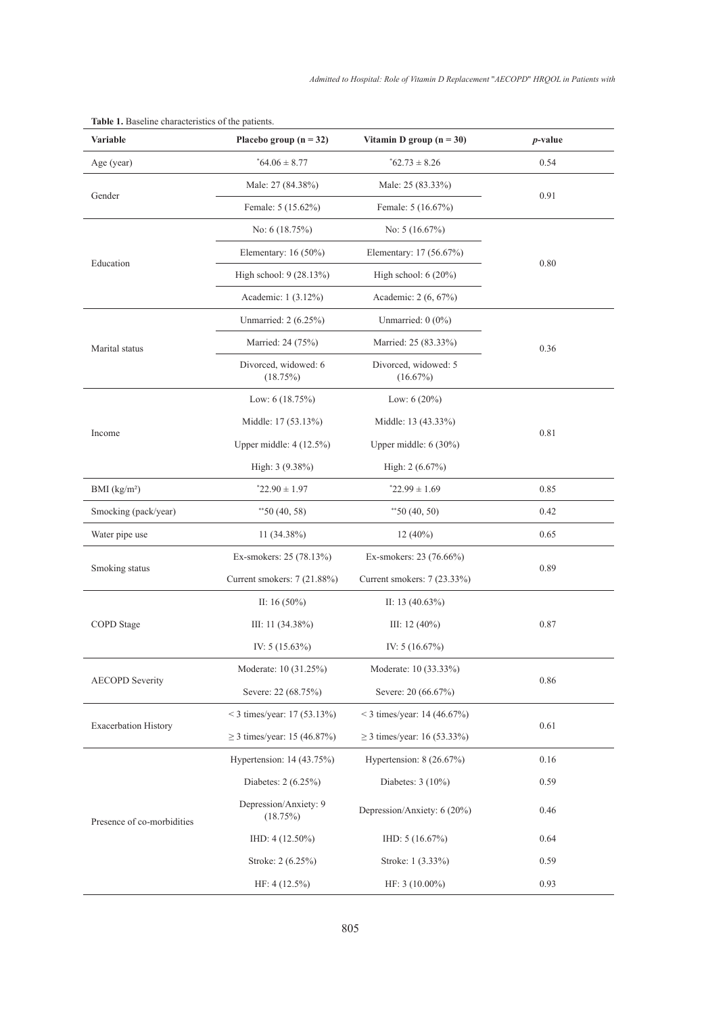| Variable                    | Placebo group $(n = 32)$          | Vitamin D group $(n = 30)$       | <i>p</i> -value |  |
|-----------------------------|-----------------------------------|----------------------------------|-----------------|--|
| Age (year)                  | $*64.06 \pm 8.77$                 | $*62.73 \pm 8.26$                | 0.54            |  |
|                             | Male: 27 (84.38%)                 | Male: 25 (83.33%)                |                 |  |
| Gender                      | Female: 5 (15.62%)                | Female: 5 (16.67%)               | 0.91            |  |
|                             | No: $6(18.75%)$                   | No: $5(16.67\%)$                 |                 |  |
|                             | Elementary: $16(50\%)$            | Elementary: 17 (56.67%)          | 0.80            |  |
| Education                   | High school: 9 (28.13%)           | High school: $6(20\%)$           |                 |  |
|                             | Academic: 1 (3.12%)               | Academic: 2 (6, 67%)             |                 |  |
|                             | Unmarried: 2 (6.25%)              | Unmarried: $0(0\%)$              |                 |  |
| Marital status              | Married: 24 (75%)                 | Married: 25 (83.33%)             | 0.36            |  |
|                             | Divorced, widowed: 6<br>(18.75%)  | Divorced, widowed: 5<br>(16.67%) |                 |  |
|                             | Low: $6(18.75%)$                  | Low: $6(20\%)$                   |                 |  |
|                             | Middle: 17 (53.13%)               | Middle: 13 (43.33%)              |                 |  |
| Income                      | Upper middle: $4(12.5\%)$         | Upper middle: 6 (30%)            | 0.81            |  |
|                             | High: 3 (9.38%)                   | High: $2(6.67\%)$                |                 |  |
| BMI (kg/m <sup>2</sup> )    | $22.90 \pm 1.97$                  | $*22.99 \pm 1.69$                | 0.85            |  |
| Smocking (pack/year)        | $*$ 50 (40, 58)                   | $*$ 50 (40, 50)                  | 0.42            |  |
| Water pipe use              | $11(34.38\%)$                     | $12(40\%)$                       | 0.65            |  |
|                             | Ex-smokers: 25 (78.13%)           | Ex-smokers: 23 (76.66%)          |                 |  |
| Smoking status              | Current smokers: 7 (21.88%)       | Current smokers: 7 (23.33%)      | 0.89            |  |
| COPD Stage                  | II: 16 $(50\%)$                   | II: 13 $(40.63\%)$               |                 |  |
|                             | III: 11 $(34.38\%)$               | III: 12 $(40\%)$                 | 0.87            |  |
|                             | IV: $5(15.63\%)$                  | IV: $5(16.67\%)$                 |                 |  |
| <b>AECOPD</b> Severity      | Moderate: 10 (31.25%)             | Moderate: 10 (33.33%)            | 0.86            |  |
|                             | Severe: 22 (68.75%)               | Severe: 20 (66.67%)              |                 |  |
| <b>Exacerbation History</b> | < 3 times/year: $17(53.13\%)$     | < 3 times/year: 14 (46.67%)      |                 |  |
|                             | ≥ 3 times/year: 15 (46.87%)       | $\geq$ 3 times/year: 16 (53.33%) | 0.61            |  |
| Presence of co-morbidities  | Hypertension: 14 (43.75%)         | Hypertension: 8 (26.67%)         | 0.16            |  |
|                             | Diabetes: 2 (6.25%)               | Diabetes: 3 (10%)                | 0.59            |  |
|                             | Depression/Anxiety: 9<br>(18.75%) | Depression/Anxiety: 6 (20%)      | 0.46            |  |
|                             | IHD: 4 (12.50%)                   | IHD: $5(16.67%)$                 | 0.64            |  |
|                             | Stroke: 2 (6.25%)                 | Stroke: 1 (3.33%)                | 0.59            |  |
|                             | HF: $4(12.5\%)$                   | HF: 3 (10.00%)                   |                 |  |

**Table 1.** Baseline characteristics of the patients.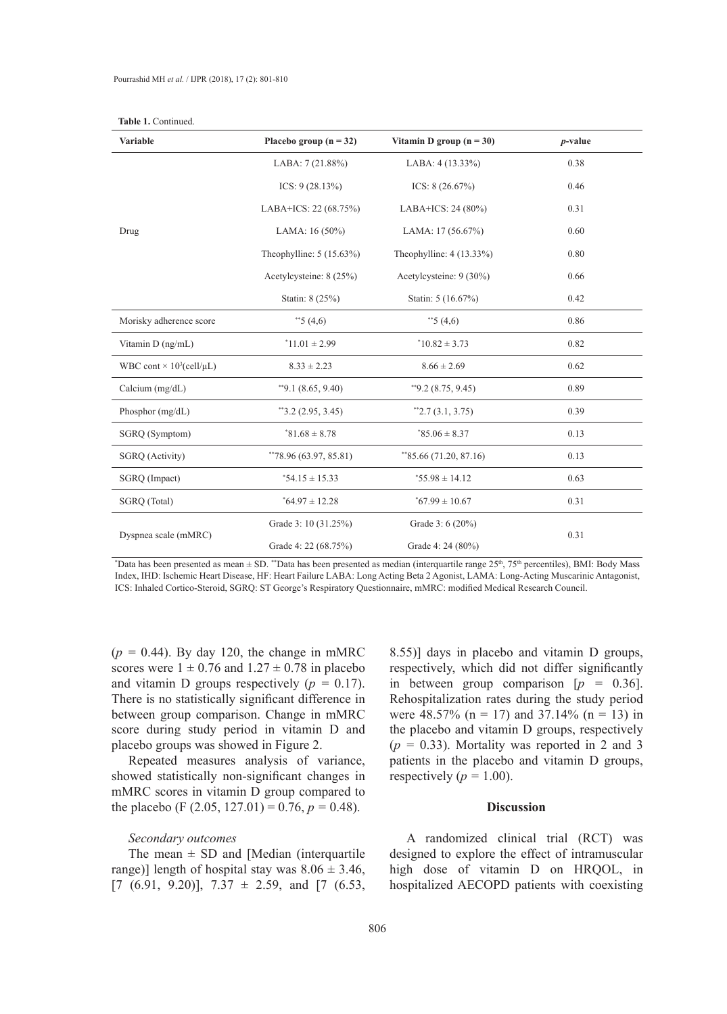| <b>Variable</b>                             | Placebo group $(n = 32)$                                 | Vitamin D group $(n = 30)$ | $p$ -value |  |
|---------------------------------------------|----------------------------------------------------------|----------------------------|------------|--|
|                                             | LABA: 7 (21.88%)                                         | LABA: 4 (13.33%)           | 0.38       |  |
| Drug                                        | ICS: $9(28.13\%)$                                        | ICS: $8(26.67%)$           | 0.46       |  |
|                                             | LABA+ICS: 22 (68.75%)                                    | LABA+ICS: 24 (80%)         | 0.31       |  |
|                                             | LAMA: $16(50\%)$<br>LAMA: $17(56.67%)$                   |                            | 0.60       |  |
|                                             | Theophylline: $5(15.63\%)$<br>Theophylline: $4(13.33\%)$ |                            | 0.80       |  |
|                                             | Acetylcysteine: 8 (25%)<br>Acetylcysteine: 9 (30%)       |                            | 0.66       |  |
|                                             | Statin: 8 (25%)                                          | Statin: 5 (16.67%)         | 0.42       |  |
| Morisky adherence score                     | **5 $(4,6)$                                              | **5 $(4,6)$                | 0.86       |  |
| Vitamin D (ng/mL)                           | $*11.01 \pm 2.99$                                        | $*10.82 \pm 3.73$          | 0.82       |  |
| WBC cont $\times$ 10 <sup>3</sup> (cell/µL) | $8.33 \pm 2.23$                                          | $8.66 \pm 2.69$            | 0.62       |  |
| Calcium (mg/dL)                             | $*$ 9.1 (8.65, 9.40)                                     | $*$ 9.2 (8.75, 9.45)       | 0.89       |  |
| Phosphor (mg/dL)                            | $*3.2(2.95, 3.45)$                                       | $*2.7(3.1, 3.75)$          | 0.39       |  |
| SGRQ (Symptom)                              | $*81.68 \pm 8.78$                                        | $*85.06 \pm 8.37$          | 0.13       |  |
| SGRQ (Activity)                             | **78.96 (63.97, 85.81)                                   | $*85.66(71.20, 87.16)$     | 0.13       |  |
| SGRQ (Impact)                               | $*54.15 \pm 15.33$                                       | $*55.98 \pm 14.12$         | 0.63       |  |
| SGRQ (Total)                                | $*64.97 \pm 12.28$                                       | $*67.99 \pm 10.67$         | 0.31       |  |
|                                             | Grade 3: 10 (31.25%)                                     | Grade 3: $6(20\%)$         |            |  |
| Dyspnea scale (mMRC)                        | Grade 4: 22 (68.75%)                                     | Grade 4: 24 (80%)          | 0.31       |  |

**Table 1.** Continued.

\* Data has been presented as mean ± SD. \*\*Data has been presented as median (interquartile range 25th, 75th percentiles), BMI: Body Mass Index, IHD: Ischemic Heart Disease, HF: Heart Failure LABA: Long Acting Beta 2 Agonist, LAMA: Long-Acting Muscarinic Antagonist, ICS: Inhaled Cortico-Steroid, SGRQ: ST George's Respiratory Questionnaire, mMRC: modified Medical Research Council.

 $(p = 0.44)$ . By day 120, the change in mMRC scores were  $1 \pm 0.76$  and  $1.27 \pm 0.78$  in placebo and vitamin D groups respectively  $(p = 0.17)$ . There is no statistically significant difference in between group comparison. Change in mMRC score during study period in vitamin D and placebo groups was showed in Figure 2.

Repeated measures analysis of variance, showed statistically non-significant changes in mMRC scores in vitamin D group compared to the placebo (F  $(2.05, 127.01) = 0.76, p = 0.48$ ).

# *Secondary outcomes*

The mean  $\pm$  SD and [Median (interquartile range)] length of hospital stay was  $8.06 \pm 3.46$ ,  $[7 (6.91, 9.20)], 7.37 \pm 2.59, \text{ and } [7 (6.53,$ 

8.55)] days in placebo and vitamin D groups, respectively, which did not differ significantly in between group comparison [*p =* 0.36]. Rehospitalization rates during the study period were 48.57% (n = 17) and 37.14% (n = 13) in the placebo and vitamin D groups, respectively  $(p = 0.33)$ . Mortality was reported in 2 and 3 patients in the placebo and vitamin D groups, respectively  $(p = 1.00)$ .

### **Discussion**

A randomized clinical trial (RCT) was designed to explore the effect of intramuscular high dose of vitamin D on HRQOL, in hospitalized AECOPD patients with coexisting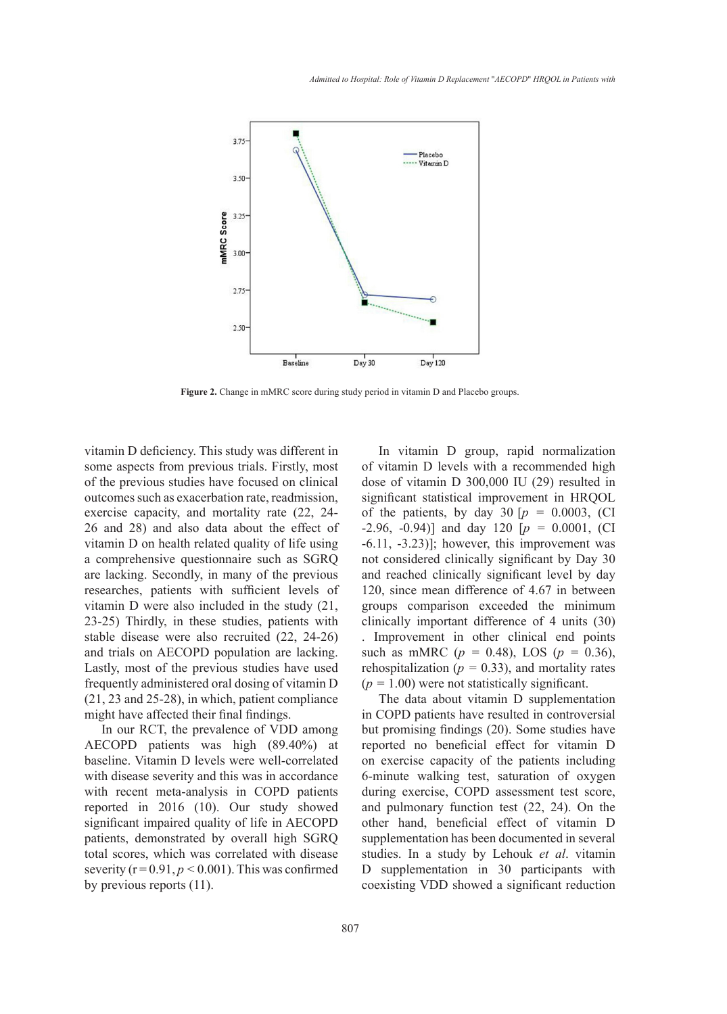

**Figure 2.** Change in mMRC score during study period in vitamin D and Placebo groups.

vitamin D deficiency. This study was different in some aspects from previous trials. Firstly, most of the previous studies have focused on clinical outcomes such as exacerbation rate, readmission, exercise capacity, and mortality rate (22, 24- 26 and 28) and also data about the effect of vitamin D on health related quality of life using a comprehensive questionnaire such as SGRQ are lacking. Secondly, in many of the previous researches, patients with sufficient levels of vitamin D were also included in the study (21, 23-25) Thirdly, in these studies, patients with stable disease were also recruited (22, 24-26) and trials on AECOPD population are lacking. Lastly, most of the previous studies have used frequently administered oral dosing of vitamin D (21, 23 and 25-28), in which, patient compliance might have affected their final findings.

In our RCT, the prevalence of VDD among AECOPD patients was high (89.40%) at baseline. Vitamin D levels were well-correlated with disease severity and this was in accordance with recent meta-analysis in COPD patients reported in 2016 (10). Our study showed significant impaired quality of life in AECOPD patients, demonstrated by overall high SGRQ total scores, which was correlated with disease severity  $(r = 0.91, p \le 0.001)$ . This was confirmed by previous reports (11).

In vitamin D group, rapid normalization of vitamin D levels with a recommended high dose of vitamin D 300,000 IU (29) resulted in significant statistical improvement in HRQOL mortality rate  $(22, 24-$  of the patients, by day  $30 [p = 0.0003, (CI - 1.0003)]$ -2.96, -0.94)] and day 120 [*p =* 0.0001, (CI  $\frac{d}{dt}$  about the effect of  $\frac{2.56}{5.5}$ ,  $\frac{6.57}{11}$  and  $\frac{d}{dt}$   $\frac{128}{120}$   $\frac{p}{p}$  =  $\frac{6.6001}{0.0001}$ ; (Cf and  $\frac{d}{dt}$  and  $\frac{d}{dt}$   $\frac{p}{dt}$  =  $\frac{6.6001}{0.0001}$ ; (Cf and  $\frac{p}{dt}$  and  $\frac{p}{dt}$  and not considered clinically significant by Day 30 and reached clinically significant level by day 120, since mean difference of 4.67 in between groups comparison exceeded the minimum clinically important difference of 4 units (30) . Improvement in other clinical end points such as mMRC ( $p = 0.48$ ), LOS ( $p = 0.36$ ), rehospitalization ( $p = 0.33$ ), and mortality rates  $(p = 1.00)$  were not statistically significant.

> The data about vitamin D supplementation in COPD patients have resulted in controversial but promising findings (20). Some studies have reported no beneficial effect for vitamin D on exercise capacity of the patients including 6-minute walking test, saturation of oxygen during exercise, COPD assessment test score, and pulmonary function test (22, 24). On the other hand, beneficial effect of vitamin D supplementation has been documented in several studies. In a study by Lehouk *et al*. vitamin D supplementation in 30 participants with coexisting VDD showed a significant reduction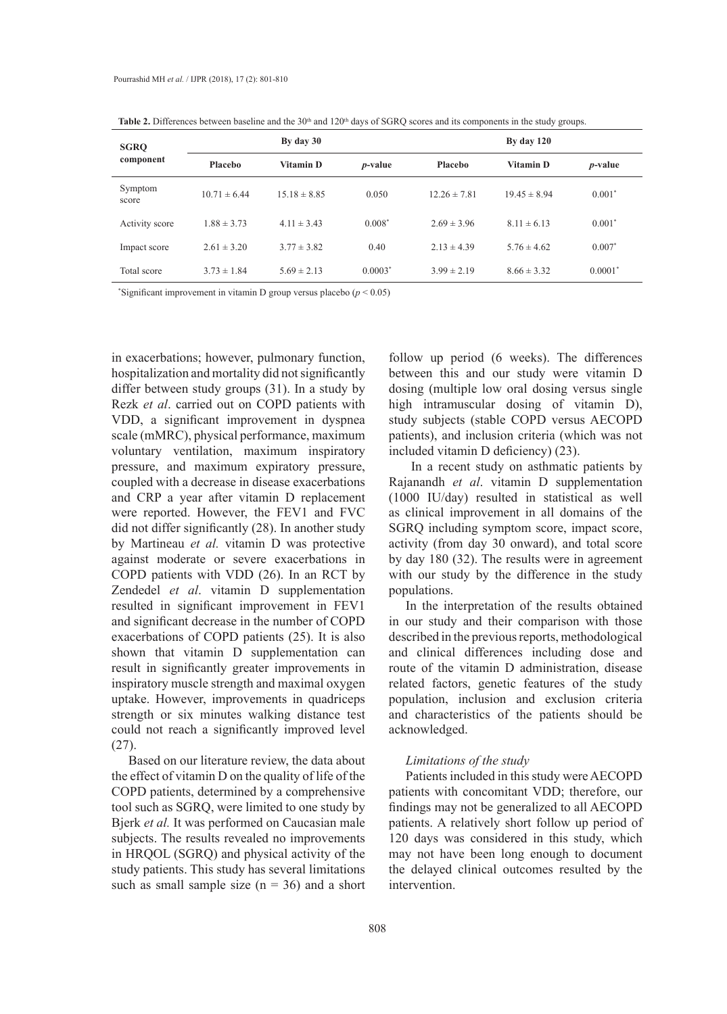| <b>SGRO</b><br>component | By day 30        |                  | By day $120$    |                  |                  |                 |
|--------------------------|------------------|------------------|-----------------|------------------|------------------|-----------------|
|                          | Placebo          | <b>Vitamin D</b> | <i>p</i> -value | Placebo          | <b>Vitamin D</b> | <i>p</i> -value |
| Symptom<br>score         | $10.71 \pm 6.44$ | $15.18 \pm 8.85$ | 0.050           | $12.26 \pm 7.81$ | $19.45 \pm 8.94$ | $0.001*$        |
| Activity score           | $1.88 \pm 3.73$  | $4.11 \pm 3.43$  | $0.008*$        | $2.69 \pm 3.96$  | $8.11 \pm 6.13$  | $0.001*$        |
| Impact score             | $2.61 \pm 3.20$  | $3.77 \pm 3.82$  | 0.40            | $2.13 \pm 4.39$  | $5.76 \pm 4.62$  | $0.007*$        |
| Total score              | $3.73 \pm 1.84$  | $5.69 \pm 2.13$  | $0.0003*$       | $3.99 \pm 2.19$  | $8.66 \pm 3.32$  | $0.0001*$       |

Table 2. Differences between baseline and the 30<sup>th</sup> and 120<sup>th</sup> days of SGRQ scores and its components in the study groups.

\* Significant improvement in vitamin D group versus placebo (*p* < 0.05)

in exacerbations; however, pulmonary function, hospitalization and mortality did not significantly differ between study groups (31). In a study by Rezk *et al*. carried out on COPD patients with VDD, a significant improvement in dyspnea scale (mMRC), physical performance, maximum voluntary ventilation, maximum inspiratory pressure, and maximum expiratory pressure, coupled with a decrease in disease exacerbations and CRP a year after vitamin D replacement were reported. However, the FEV1 and FVC did not differ significantly (28). In another study by Martineau *et al.* vitamin D was protective against moderate or severe exacerbations in COPD patients with VDD (26). In an RCT by Zendedel *et al*. vitamin D supplementation resulted in significant improvement in FEV1 and significant decrease in the number of COPD exacerbations of COPD patients (25). It is also shown that vitamin D supplementation can result in significantly greater improvements in inspiratory muscle strength and maximal oxygen uptake. However, improvements in quadriceps strength or six minutes walking distance test could not reach a significantly improved level (27).

Based on our literature review, the data about the effect of vitamin D on the quality of life of the COPD patients, determined by a comprehensive tool such as SGRQ, were limited to one study by Bjerk *et al.* It was performed on Caucasian male subjects. The results revealed no improvements in HRQOL (SGRQ) and physical activity of the study patients. This study has several limitations such as small sample size  $(n = 36)$  and a short follow up period (6 weeks). The differences between this and our study were vitamin D dosing (multiple low oral dosing versus single high intramuscular dosing of vitamin D), study subjects (stable COPD versus AECOPD patients), and inclusion criteria (which was not included vitamin D deficiency) (23).

 In a recent study on asthmatic patients by Rajanandh *et al*. vitamin D supplementation (1000 IU/day) resulted in statistical as well as clinical improvement in all domains of the SGRQ including symptom score, impact score, activity (from day 30 onward), and total score by day 180 (32). The results were in agreement with our study by the difference in the study populations.

In the interpretation of the results obtained in our study and their comparison with those described in the previous reports, methodological and clinical differences including dose and route of the vitamin D administration, disease related factors, genetic features of the study population, inclusion and exclusion criteria and characteristics of the patients should be acknowledged.

# *Limitations of the study*

Patients included in this study were AECOPD patients with concomitant VDD; therefore, our findings may not be generalized to all AECOPD patients. A relatively short follow up period of 120 days was considered in this study, which may not have been long enough to document the delayed clinical outcomes resulted by the intervention.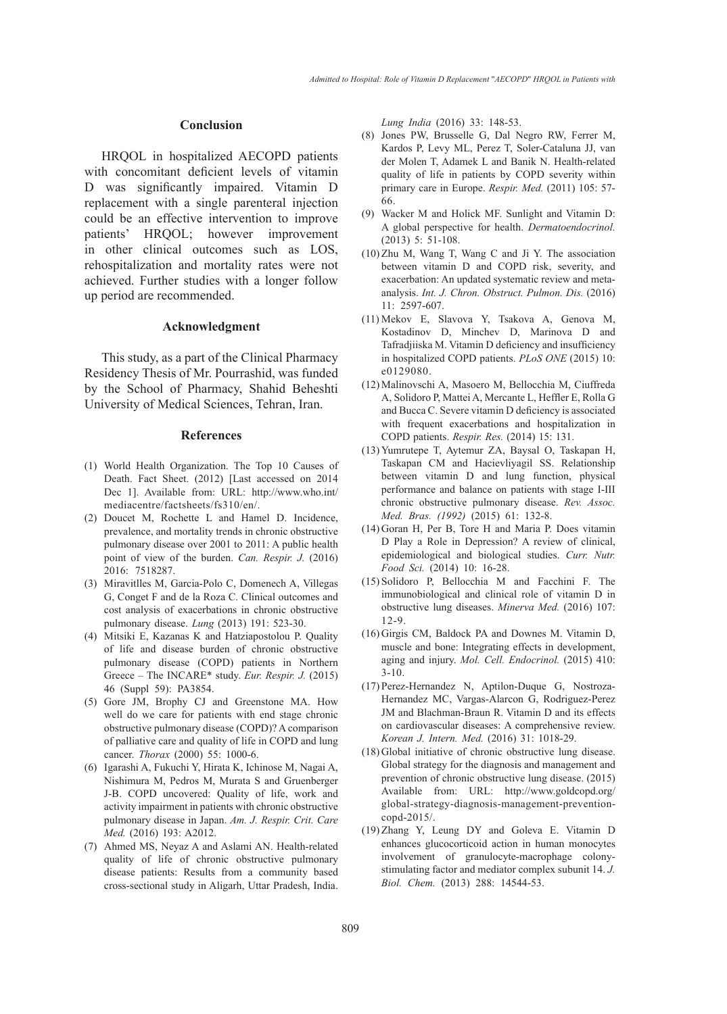#### **Conclusion**

HRQOL in hospitalized AECOPD patients with concomitant deficient levels of vitamin D was significantly impaired. Vitamin D replacement with a single parenteral injection could be an effective intervention to improve patients' HRQOL; however improvement in other clinical outcomes such as LOS, rehospitalization and mortality rates were not achieved. Further studies with a longer follow up period are recommended.

#### **Acknowledgment**

This study, as a part of the Clinical Pharmacy Residency Thesis of Mr. Pourrashid, was funded by the School of Pharmacy, Shahid Beheshti University of Medical Sciences, Tehran, Iran.

#### **References**

- World Health Organization. The Top 10 Causes of (1) Death. Fact Sheet. (2012) [Last accessed on 2014 Dec 1]. Available from: URL: http://www.who.int/ mediacentre/factsheets/fs310/en/.
- (2) Doucet M, Rochette L and Hamel D. Incidence, prevalence, and mortality trends in chronic obstructive pulmonary disease over 2001 to 2011: A public health point of view of the burden. *Can. Respir. J.* (2016) 2016: 7518287.
- (3) Miravitlles M, Garcia-Polo C, Domenech A, Villegas G, Conget F and de la Roza C. Clinical outcomes and cost analysis of exacerbations in chronic obstructive pulmonary disease. *Lung* (2013) 191: 523-30.
- Mitsiki E, Kazanas K and Hatziapostolou P. Quality (4) of life and disease burden of chronic obstructive pulmonary disease (COPD) patients in Northern Greece – The INCARE\* study. *Eur. Respir. J.* (2015) 46 (Suppl 59): PA3854.
- (5) Gore JM, Brophy CJ and Greenstone MA. How well do we care for patients with end stage chronic obstructive pulmonary disease (COPD)? A comparison of palliative care and quality of life in COPD and lung cancer. *Thorax* (2000) 55: 1000-6.
- Igarashi A, Fukuchi Y, Hirata K, Ichinose M, Nagai A, (6) Nishimura M, Pedros M, Murata S and Gruenberger J-B. COPD uncovered: Quality of life, work and activity impairment in patients with chronic obstructive pulmonary disease in Japan. *Am. J. Respir. Crit. Care Med.* (2016) 193: A2012.
- Ahmed MS, Neyaz A and Aslami AN. Health-related (7)quality of life of chronic obstructive pulmonary disease patients: Results from a community based cross-sectional study in Aligarh, Uttar Pradesh, India.

*Lung India* (2016) 33: 148-53.

- Jones PW, Brusselle G, Dal Negro RW, Ferrer M, (8) Kardos P, Levy ML, Perez T, Soler-Cataluna JJ, van der Molen T, Adamek L and Banik N. Health-related quality of life in patients by COPD severity within primary care in Europe. *Respir. Med.* (2011) 105: 57- 66.
- Wacker M and Holick MF. Sunlight and Vitamin D: (9) A global perspective for health. *Dermatoendocrinol.* (2013) 5: 51-108.
- $(10)$  Zhu M, Wang T, Wang C and Ji Y. The association between vitamin D and COPD risk, severity, and exacerbation: An updated systematic review and metaanalysis. *Int. J. Chron. Obstruct. Pulmon. Dis.* (2016) 11: 2597-607.
- Mekov E, Slavova Y, Tsakova A, Genova M, (11) Kostadinov D, Minchev D, Marinova D and Tafradjiiska M. Vitamin D deficiency and insufficiency in hospitalized COPD patients. *PLoS ONE* (2015) 10: e0129080.
- Malinovschi A, Masoero M, Bellocchia M, Ciuffreda (12) A, Solidoro P, Mattei A, Mercante L, Heffler E, Rolla G and Bucca C. Severe vitamin D deficiency is associated with frequent exacerbations and hospitalization in COPD patients. *Respir. Res.* (2014) 15: 131.
- (13) Yumrutepe T, Aytemur ZA, Baysal O, Taskapan H, Taskapan CM and Hacievliyagil SS. Relationship between vitamin D and lung function, physical performance and balance on patients with stage I-III chronic obstructive pulmonary disease. *Rev. Assoc. Med. Bras. (1992)* (2015) 61: 132-8.
- $(14)$  Goran H, Per B, Tore H and Maria P. Does vitamin D Play a Role in Depression? A review of clinical, epidemiological and biological studies. *Curr. Nutr. Food Sci.* (2014) 10: 16-28.
- $(15)$  Solidoro P, Bellocchia M and Facchini F. The immunobiological and clinical role of vitamin D in obstructive lung diseases. *Minerva Med.* (2016) 107: 12-9.
- (16) Girgis CM, Baldock PA and Downes M. Vitamin D, muscle and bone: Integrating effects in development, aging and injury. *Mol. Cell. Endocrinol.* (2015) 410: 3-10.
- (17) Perez-Hernandez N, Aptilon-Duque G, Nostroza-Hernandez MC, Vargas-Alarcon G, Rodriguez-Perez JM and Blachman-Braun R. Vitamin D and its effects on cardiovascular diseases: A comprehensive review. *Korean J. Intern. Med.* (2016) 31: 1018-29.
- Global initiative of chronic obstructive lung disease. (18) Global strategy for the diagnosis and management and prevention of chronic obstructive lung disease. (2015) Available from: URL: http://www.goldcopd.org/ global-strategy-diagnosis-management-preventioncopd-2015/.
- $(19)$  Zhang Y, Leung DY and Goleva E. Vitamin D enhances glucocorticoid action in human monocytes involvement of granulocyte-macrophage colonystimulating factor and mediator complex subunit 14. *J. Biol. Chem.* (2013) 288: 14544-53.